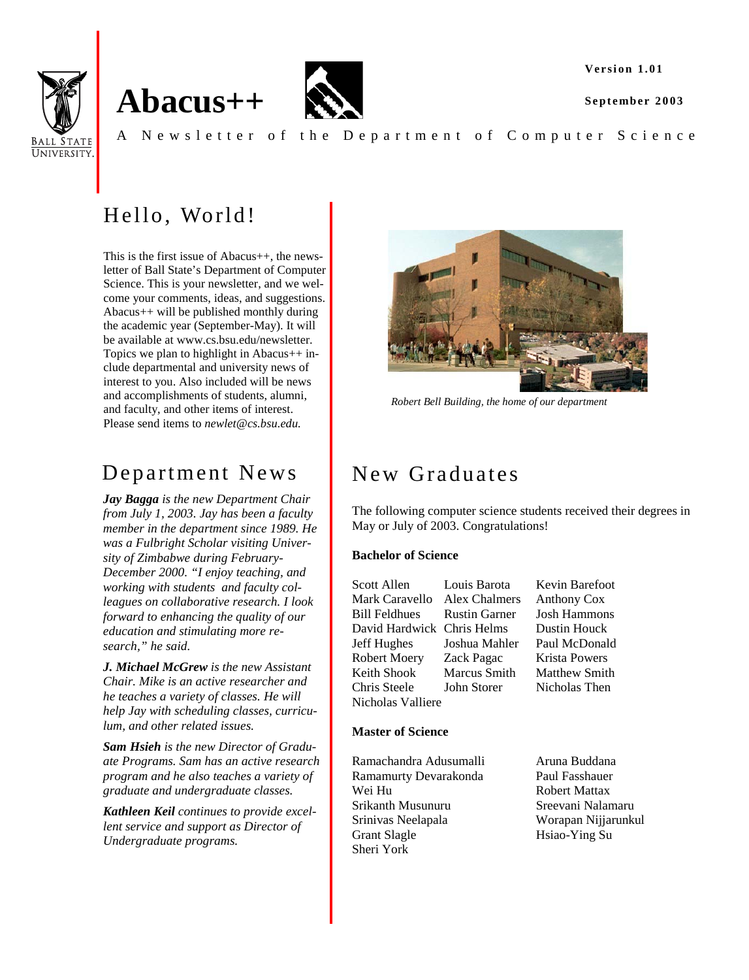**Version 1.01**

**September 2003** 



# **Abacus++**



A Newsletter of the Department of Computer Science

## Hello, World!

This is the first issue of Abacus++, the newsletter of Ball State's Department of Computer Science. This is your newsletter, and we welcome your comments, ideas, and suggestions. Abacus++ will be published monthly during the academic year (September-May). It will be available at www.cs.bsu.edu/newsletter. Topics we plan to highlight in Abacus++ include departmental and university news of interest to you. Also included will be news and accomplishments of students, alumni, and faculty, and other items of interest. Please send items to *newlet@cs.bsu.edu.*

## Department News

*Jay Bagga is the new Department Chair from July 1, 2003. Jay has been a faculty member in the department since 1989. He was a Fulbright Scholar visiting University of Zimbabwe during February-December 2000. "I enjoy teaching, and working with students and faculty colleagues on collaborative research. I look forward to enhancing the quality of our education and stimulating more research," he said.* 

*J. Michael McGrew is the new Assistant Chair. Mike is an active researcher and he teaches a variety of classes. He will help Jay with scheduling classes, curriculum, and other related issues.* 

*Sam Hsieh is the new Director of Graduate Programs. Sam has an active research program and he also teaches a variety of graduate and undergraduate classes.* 

*Kathleen Keil continues to provide excellent service and support as Director of Undergraduate programs.* 



*Robert Bell Building, the home of our department* 

## New Graduates

The following computer science students received their degrees in May or July of 2003. Congratulations!

#### **Bachelor of Science**

Scott Allen Louis Barota Kevin Barefoot Mark Caravello Alex Chalmers Anthony Cox Bill Feldhues Rustin Garner Josh Hammons David Hardwick Chris Helms Dustin Houck Jeff Hughes Joshua Mahler Paul McDonald Robert Moery Zack Pagac Krista Powers Keith Shook Marcus Smith Matthew Smith Chris Steele John Storer Nicholas Then Nicholas Valliere

#### **Master of Science**

Ramachandra Adusumalli Aruna Buddana Ramamurty Devarakonda Paul Fasshauer Wei Hu Robert Mattax Srikanth Musunuru Sreevani Nalamaru Srinivas Neelapala Worapan Nijjarunkul Grant Slagle Hsiao-Ying Su Sheri York